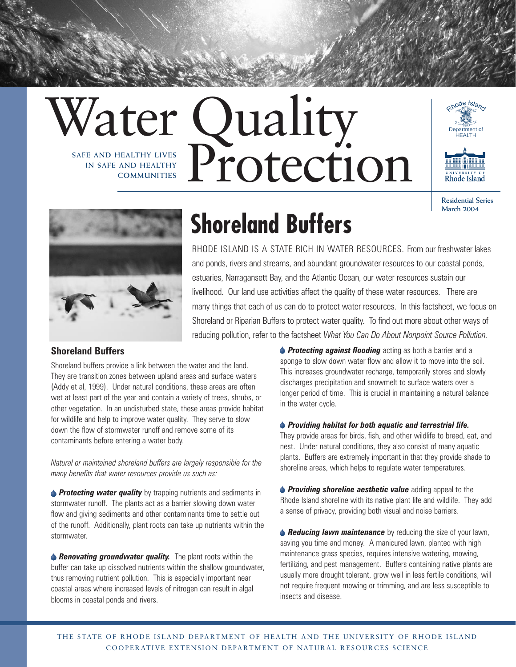# Water Quality **Protection IN SAFE AND HEALTHY COMMUNITIES**



**Residential Series March 2004**



## **Shoreland Buffers**

RHODE ISLAND IS A STATE RICH IN WATER RESOURCES. From our freshwater lakes and ponds, rivers and streams, and abundant groundwater resources to our coastal ponds, estuaries, Narragansett Bay, and the Atlantic Ocean, our water resources sustain our livelihood. Our land use activities affect the quality of these water resources. There are many things that each of us can do to protect water resources. In this factsheet, we focus on Shoreland or Riparian Buffers to protect water quality. To find out more about other ways of reducing pollution, refer to the factsheet *What You Can Do About Nonpoint Source Pollution.*

#### **Shoreland Buffers**

Shoreland buffers provide a link between the water and the land. They are transition zones between upland areas and surface waters (Addy et al, 1999). Under natural conditions, these areas are often wet at least part of the year and contain a variety of trees, shrubs, or other vegetation. In an undisturbed state, these areas provide habitat for wildlife and help to improve water quality. They serve to slow down the flow of stormwater runoff and remove some of its contaminants before entering a water body.

*Natural or maintained shoreland buffers are largely responsible for the many benefits that water resources provide us such as:*

**Protecting water quality** by trapping nutrients and sediments in stormwater runoff. The plants act as a barrier slowing down water flow and giving sediments and other contaminants time to settle out of the runoff. Additionally, plant roots can take up nutrients within the stormwater.

**A Renovating groundwater quality.** The plant roots within the buffer can take up dissolved nutrients within the shallow groundwater, thus removing nutrient pollution. This is especially important near coastal areas where increased levels of nitrogen can result in algal blooms in coastal ponds and rivers.

**Protecting against flooding** acting as both a barrier and a sponge to slow down water flow and allow it to move into the soil. This increases groundwater recharge, temporarily stores and slowly discharges precipitation and snowmelt to surface waters over a longer period of time. This is crucial in maintaining a natural balance in the water cycle.

#### *Providing habitat for both aquatic and terrestrial life.*

They provide areas for birds, fish, and other wildlife to breed, eat, and nest. Under natural conditions, they also consist of many aquatic plants. Buffers are extremely important in that they provide shade to shoreline areas, which helps to regulate water temperatures.

**Providing shoreline aesthetic value** adding appeal to the Rhode Island shoreline with its native plant life and wildlife. They add a sense of privacy, providing both visual and noise barriers.

**A Reducing lawn maintenance** by reducing the size of your lawn, saving you time and money. A manicured lawn, planted with high maintenance grass species, requires intensive watering, mowing, fertilizing, and pest management. Buffers containing native plants are usually more drought tolerant, grow well in less fertile conditions, will not require frequent mowing or trimming, and are less susceptible to insects and disease.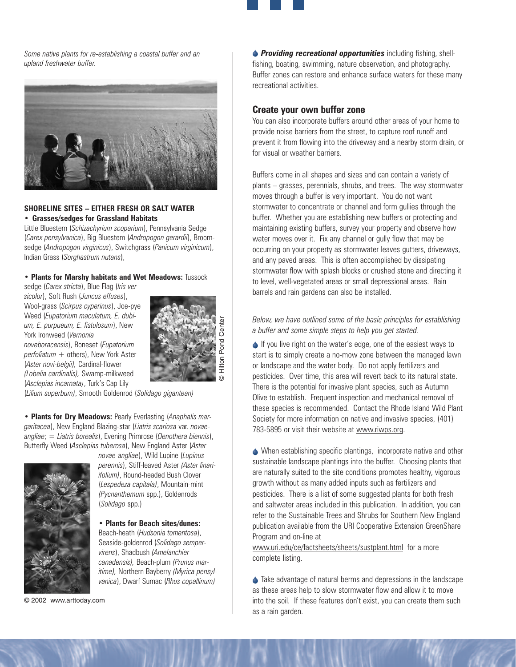*Some native plants for re-establishing a coastal buffer and an upland freshwater buffer.*



#### **SHORELINE SITES – EITHER FRESH OR SALT WATER** • **Grasses/sedges for Grassland Habitats**

Little Bluestern (*Schizachyrium scoparium*), Pennsylvania Sedge (*Carex pensylvanica*), Big Bluestem (*Andropogon gerardii*), Broomsedge (*Andropogon virginicus*), Switchgrass (*Panicum virginicum*), Indian Grass (*Sorghastrum nutans*),

#### **• Plants for Marshy habitats and Wet Meadows:** Tussock

sedge (*Carex stricta*), Blue Flag (*Iris versicolor*), Soft Rush (*Juncus effuses*), Wool-grass (*Scirpus cyperinus*), Joe-pye Weed (*Eupatorium maculatum, E. dubium, E. purpueum, E. fistulosum*), New York Ironweed (*Vernonia noveboracensis*), Boneset (*Eupatorium perfoliatum +* others), New York Aster (*Aster novi-belgii),* Cardinal-flower *(Lobelia cardinalis),* Swamp-milkweed (*Asclepias incarnata)*, Turk's Cap Lily



(*Lilium superbum)*, Smooth Goldenrod (*Solidago gigantean)*

**• Plants for Dry Meadows:** Pearly Everlasting (*Anaphalis margaritacea*), New England Blazing-star (*Liatris scariosa* var. *novaeangliae*; = *Liatris borealis*), Evening Primrose (*Oenothera biennis*), Butterfly Weed (*Asclepias tuberosa*), New England Aster (*Aster*



*novae-angliae*), Wild Lupine (*Lupinus perennis*), Stiff-leaved Aster *(Aster linariifolium)*, Round-headed Bush Clover (*Lespedeza capitala)*, Mountain-mint *(Pycnanthemum* spp.), Goldenrods (*Solidago* spp.)

#### **• Plants for Beach sites/dunes:** Beach-heath (*Hudsonia tomentosa*), Seaside-goldenrod (*Solidago sempervirens*), Shadbush *(Amelanchier canadensis),* Beach-plum *(Prunus maritime),* Northern Bayberry *(Myrica pensylvanica*), Dwarf Sumac (*Rhus copallinum)*

© 2002 www.arttoday.com

*Providing recreational opportunities* including fishing, shellfishing, boating, swimming, nature observation, and photography. Buffer zones can restore and enhance surface waters for these many recreational activities.

#### **Create your own buffer zone**

You can also incorporate buffers around other areas of your home to provide noise barriers from the street, to capture roof runoff and prevent it from flowing into the driveway and a nearby storm drain, or for visual or weather barriers.

Buffers come in all shapes and sizes and can contain a variety of plants – grasses, perennials, shrubs, and trees. The way stormwater moves through a buffer is very important. You do not want stormwater to concentrate or channel and form gullies through the buffer. Whether you are establishing new buffers or protecting and maintaining existing buffers, survey your property and observe how water moves over it. Fix any channel or gully flow that may be occurring on your property as stormwater leaves gutters, driveways, and any paved areas. This is often accomplished by dissipating stormwater flow with splash blocks or crushed stone and directing it to level, well-vegetated areas or small depressional areas. Rain barrels and rain gardens can also be installed.

#### *Below, we have outlined some of the basic principles for establishing a buffer and some simple steps to help you get started.*

If you live right on the water's edge, one of the easiest ways to start is to simply create a no-mow zone between the managed lawn or landscape and the water body. Do not apply fertilizers and pesticides. Over time, this area will revert back to its natural state. There is the potential for invasive plant species, such as Autumn Olive to establish. Frequent inspection and mechanical removal of these species is recommended. Contact the Rhode Island Wild Plant Society for more information on native and invasive species, (401) 783-5895 or visit their website at www.riwps.org.

When establishing specific plantings, incorporate native and other sustainable landscape plantings into the buffer. Choosing plants that are naturally suited to the site conditions promotes healthy, vigorous growth without as many added inputs such as fertilizers and pesticides. There is a list of some suggested plants for both fresh and saltwater areas included in this publication. In addition, you can refer to the Sustainable Trees and Shrubs for Southern New England publication available from the URI Cooperative Extension GreenShare Program and on-line at

www.uri.edu/ce/factsheets/sheets/sustplant.html for a more complete listing.

♦ Take advantage of natural berms and depressions in the landscape as these areas help to slow stormwater flow and allow it to move into the soil. If these features don't exist, you can create them such as a rain garden.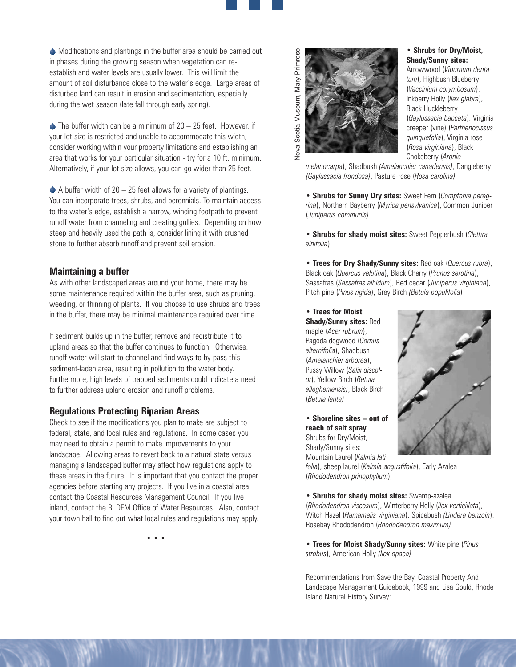Modifications and plantings in the buffer area should be carried out in phases during the growing season when vegetation can reestablish and water levels are usually lower. This will limit the amount of soil disturbance close to the water's edge. Large areas of disturbed land can result in erosion and sedimentation, especially during the wet season (late fall through early spring).

 $\triangle$  The buffer width can be a minimum of 20 – 25 feet. However, if your lot size is restricted and unable to accommodate this width, consider working within your property limitations and establishing an area that works for your particular situation - try for a 10 ft. minimum. Alternatively, if your lot size allows, you can go wider than 25 feet.

 $\blacklozenge$  A buffer width of 20 – 25 feet allows for a variety of plantings. You can incorporate trees, shrubs, and perennials. To maintain access to the water's edge, establish a narrow, winding footpath to prevent runoff water from channeling and creating gullies. Depending on how steep and heavily used the path is, consider lining it with crushed stone to further absorb runoff and prevent soil erosion.

#### **Maintaining a buffer**

As with other landscaped areas around your home, there may be some maintenance required within the buffer area, such as pruning, weeding, or thinning of plants. If you choose to use shrubs and trees in the buffer, there may be minimal maintenance required over time.

If sediment builds up in the buffer, remove and redistribute it to upland areas so that the buffer continues to function. Otherwise, runoff water will start to channel and find ways to by-pass this sediment-laden area, resulting in pollution to the water body. Furthermore, high levels of trapped sediments could indicate a need to further address upland erosion and runoff problems.

#### **Regulations Protecting Riparian Areas**

Check to see if the modifications you plan to make are subject to federal, state, and local rules and regulations. In some cases you may need to obtain a permit to make improvements to your landscape. Allowing areas to revert back to a natural state versus managing a landscaped buffer may affect how regulations apply to these areas in the future. It is important that you contact the proper agencies before starting any projects. If you live in a coastal area contact the Coastal Resources Management Council. If you live inland, contact the RI DEM Office of Water Resources. Also, contact your town hall to find out what local rules and regulations may apply.

*• • •*



#### **• Shrubs for Dry/Moist, Shady/Sunny sites:**

Arrowwood (*Viburnum dentatum*), Highbush Blueberry (*Vaccinium corymbosum*), Inkberry Holly (*Ilex glabra*), Black Huckleberry (*Gaylussacia baccata*), Virginia creeper (vine) (*Parthenocissus quinquefolia*), Virginia rose (*Rosa virginiana*), Black Chokeberry (*Aronia*

*melanocarpa*), Shadbush *(Amelanchier canadensis)*, Dangleberry *(Gaylussacia frondosa)*, Pasture-rose (*Rosa carolina)*

**• Shrubs for Sunny Dry sites:** Sweet Fern (*Comptonia peregrina*), Northern Bayberry (*Myrica pensylvanica*), Common Juniper (*Juniperus communis)*

**• Shrubs for shady moist sites:** Sweet Pepperbush (*Clethra alnifolia*)

**• Trees for Dry Shady/Sunny sites:** Red oak (*Quercus rubra*), Black oak (*Quercus velutina*), Black Cherry (*Prunus serotina*), Sassafras (*Sassafras albidum*), Red cedar (*Juniperus virginiana*), Pitch pine (*Pinus rigida*), Grey Birch *(Betula populifolia*)

**• Trees for Moist Shady/Sunny sites:** Red maple (*Acer rubrum*), Pagoda dogwood (*Cornus alternifolia*), Shadbush (*Amelanchier arborea*), Pussy Willow (*Salix discolor*), Yellow Birch (*Betula allegheniensis)*, Black Birch (*Betula lenta)*

**• Shoreline sites – out of reach of salt spray** Shrubs for Dry/Moist, Shady/Sunny sites: Mountain Laurel (*Kalmia lati-*

*folia*), sheep laurel (*Kalmia angustifolia*), Early Azalea (*Rhododendron prinophyllum*),

**• Shrubs for shady moist sites:** Swamp-azalea (*Rhododendron viscosum*), Winterberry Holly (*Ilex verticillata*), Witch Hazel (*Hamamelis virginiana*), Spicebush *(Lindera benzoin*), Rosebay Rhododendron (*Rhododendron maximum)*

**• Trees for Moist Shady/Sunny sites:** White pine (*Pinus strobus*), American Holly *(Ilex opaca)*

Recommendations from Save the Bay, Coastal Property And Landscape Management Guidebook, 1999 and Lisa Gould, Rhode Island Natural History Survey: